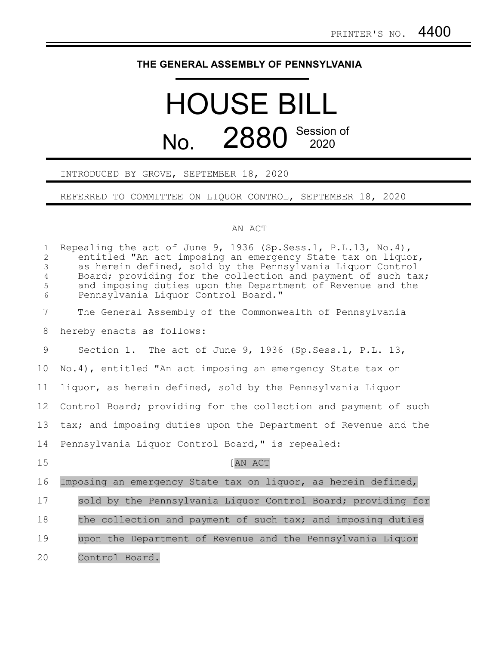## **THE GENERAL ASSEMBLY OF PENNSYLVANIA**

## HOUSE BILL No. 2880 Session of

## INTRODUCED BY GROVE, SEPTEMBER 18, 2020

REFERRED TO COMMITTEE ON LIQUOR CONTROL, SEPTEMBER 18, 2020

## AN ACT

| $\mathbf{1}$<br>$\overline{2}$<br>$\mathfrak{Z}$<br>$\overline{4}$<br>5<br>6 | Repealing the act of June 9, 1936 (Sp. Sess.1, P.L.13, No.4),<br>entitled "An act imposing an emergency State tax on liquor,<br>as herein defined, sold by the Pennsylvania Liquor Control<br>Board; providing for the collection and payment of such tax;<br>and imposing duties upon the Department of Revenue and the<br>Pennsylvania Liquor Control Board." |
|------------------------------------------------------------------------------|-----------------------------------------------------------------------------------------------------------------------------------------------------------------------------------------------------------------------------------------------------------------------------------------------------------------------------------------------------------------|
| $\overline{7}$                                                               | The General Assembly of the Commonwealth of Pennsylvania                                                                                                                                                                                                                                                                                                        |
| 8                                                                            | hereby enacts as follows:                                                                                                                                                                                                                                                                                                                                       |
| 9                                                                            | Section 1. The act of June 9, 1936 (Sp. Sess.1, P.L. 13,                                                                                                                                                                                                                                                                                                        |
| 10                                                                           | No.4), entitled "An act imposing an emergency State tax on                                                                                                                                                                                                                                                                                                      |
| 11                                                                           | liquor, as herein defined, sold by the Pennsylvania Liquor                                                                                                                                                                                                                                                                                                      |
| 12                                                                           | Control Board; providing for the collection and payment of such                                                                                                                                                                                                                                                                                                 |
| 13                                                                           | tax; and imposing duties upon the Department of Revenue and the                                                                                                                                                                                                                                                                                                 |
| 14                                                                           | Pennsylvania Liquor Control Board," is repealed:                                                                                                                                                                                                                                                                                                                |
| 15                                                                           | <b>AN ACT</b>                                                                                                                                                                                                                                                                                                                                                   |
| 16                                                                           | Imposing an emergency State tax on liquor, as herein defined,                                                                                                                                                                                                                                                                                                   |
| 17                                                                           | sold by the Pennsylvania Liquor Control Board; providing for                                                                                                                                                                                                                                                                                                    |
| 18                                                                           | the collection and payment of such tax; and imposing duties                                                                                                                                                                                                                                                                                                     |
| 19                                                                           | upon the Department of Revenue and the Pennsylvania Liquor                                                                                                                                                                                                                                                                                                      |
| 20                                                                           | Control Board.                                                                                                                                                                                                                                                                                                                                                  |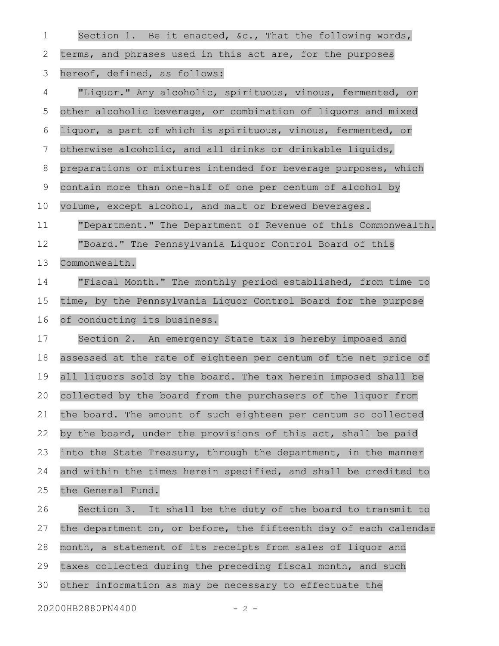| 1  | Section 1. Be it enacted, $\&c.$ , That the following words,     |
|----|------------------------------------------------------------------|
| 2  | terms, and phrases used in this act are, for the purposes        |
| 3  | hereof, defined, as follows:                                     |
| 4  | "Liquor." Any alcoholic, spirituous, vinous, fermented, or       |
| 5  | other alcoholic beverage, or combination of liquors and mixed    |
| 6  | liquor, a part of which is spirituous, vinous, fermented, or     |
| 7  | otherwise alcoholic, and all drinks or drinkable liquids,        |
| 8  | preparations or mixtures intended for beverage purposes, which   |
| 9  | contain more than one-half of one per centum of alcohol by       |
| 10 | volume, except alcohol, and malt or brewed beverages.            |
| 11 | "Department." The Department of Revenue of this Commonwealth.    |
| 12 | "Board." The Pennsylvania Liquor Control Board of this           |
| 13 | Commonwealth.                                                    |
| 14 | "Fiscal Month." The monthly period established, from time to     |
| 15 | time, by the Pennsylvania Liquor Control Board for the purpose   |
| 16 | of conducting its business.                                      |
| 17 | Section 2. An emergency State tax is hereby imposed and          |
| 18 | assessed at the rate of eighteen per centum of the net price of  |
| 19 | all liquors sold by the board. The tax herein imposed shall be   |
| 20 | collected by the board from the purchasers of the liquor from    |
| 21 | the board. The amount of such eighteen per centum so collected   |
| 22 | by the board, under the provisions of this act, shall be paid    |
| 23 | into the State Treasury, through the department, in the manner   |
| 24 | and within the times herein specified, and shall be credited to  |
| 25 | the General Fund.                                                |
| 26 | Section 3. It shall be the duty of the board to transmit to      |
| 27 | the department on, or before, the fifteenth day of each calendar |
| 28 | month, a statement of its receipts from sales of liquor and      |
| 29 | taxes collected during the preceding fiscal month, and such      |
| 30 | other information as may be necessary to effectuate the          |
|    | 20200HB2880PN4400<br>$-2 -$                                      |